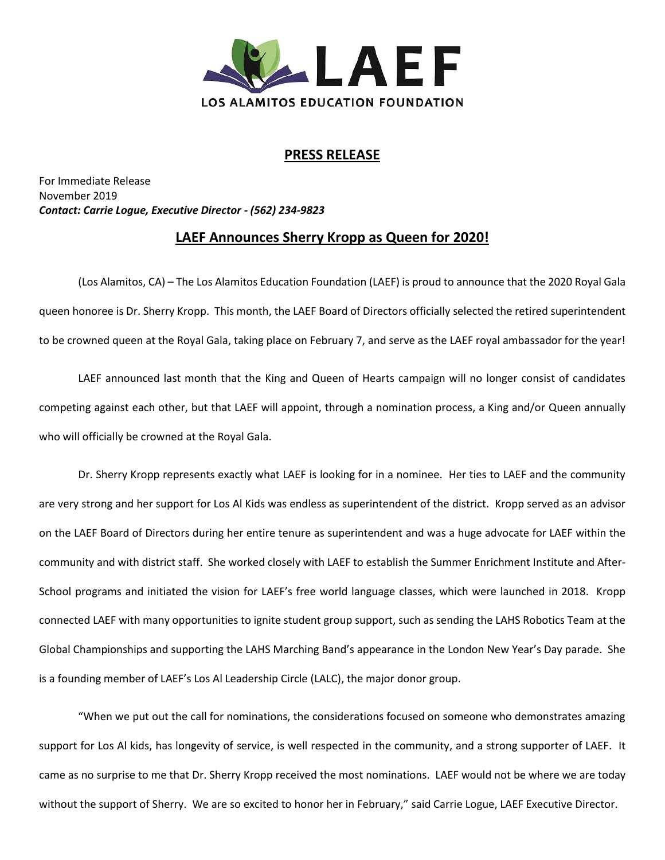

## **PRESS RELEASE**

For Immediate Release November 2019 *Contact: Carrie Logue, Executive Director - (562) 234-9823*

## **LAEF Announces Sherry Kropp as Queen for 2020!**

(Los Alamitos, CA) – The Los Alamitos Education Foundation (LAEF) is proud to announce that the 2020 Royal Gala queen honoree is Dr. Sherry Kropp. This month, the LAEF Board of Directors officially selected the retired superintendent to be crowned queen at the Royal Gala, taking place on February 7, and serve as the LAEF royal ambassador for the year!

LAEF announced last month that the King and Queen of Hearts campaign will no longer consist of candidates competing against each other, but that LAEF will appoint, through a nomination process, a King and/or Queen annually who will officially be crowned at the Royal Gala.

Dr. Sherry Kropp represents exactly what LAEF is looking for in a nominee. Her ties to LAEF and the community are very strong and her support for Los Al Kids was endless as superintendent of the district. Kropp served as an advisor on the LAEF Board of Directors during her entire tenure as superintendent and was a huge advocate for LAEF within the community and with district staff. She worked closely with LAEF to establish the Summer Enrichment Institute and After-School programs and initiated the vision for LAEF's free world language classes, which were launched in 2018. Kropp connected LAEF with many opportunities to ignite student group support, such as sending the LAHS Robotics Team at the Global Championships and supporting the LAHS Marching Band's appearance in the London New Year's Day parade. She is a founding member of LAEF's Los Al Leadership Circle (LALC), the major donor group.

"When we put out the call for nominations, the considerations focused on someone who demonstrates amazing support for Los Al kids, has longevity of service, is well respected in the community, and a strong supporter of LAEF. It came as no surprise to me that Dr. Sherry Kropp received the most nominations. LAEF would not be where we are today without the support of Sherry. We are so excited to honor her in February," said Carrie Logue, LAEF Executive Director.